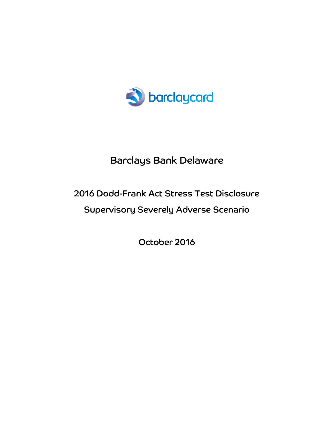

# Barclays Bank Delaware

# 2016 Dodd-Frank Act Stress Test Disclosure

# Supervisory Severely Adverse Scenario

October 2016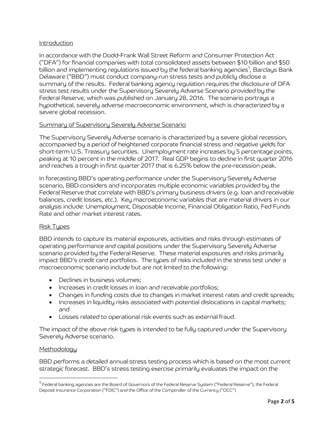# Introduction

In accordance with the Dodd-Frank Wall Street Reform and Consumer Protection Act ("DFA") for financial companies with total consolidated assets between \$10 billion and \$50 billion and implementing regulations issued by the federal banking agencies $^{\mathfrak{1}}$ , Barclays Bank Delaware ("BBD") must conduct company-run stress tests and publicly disclose a summary of the results. Federal banking agency regulation requires the disclosure of DFA stress test results under the Supervisory Severely Adverse Scenario provided by the Federal Reserve, which was published on January 28, 2016. The scenario portrays a hypothetical, severely adverse macroeconomic environment, which is characterized by a severe global recession.

# Summary of Supervisory Severely Adverse Scenario

The Supervisory Severely Adverse scenario is characterized by a severe global recession, accompanied by a period of heightened corporate financial stress and negative yields for short-term U.S. Treasury securities. Unemployment rate increases by 5 percentage points, peaking at 10 percent in the middle of 2017. Real GDP begins to decline in first quarter 2016 and reaches a trough in first quarter 2017 that is 6.25% below the pre-recession peak.

In forecasting BBD's operating performance under the Supervisory Severely Adverse scenario, BBD considers and incorporates multiple economic variables provided by the Federal Reserve that correlate with BBD's primary business drivers (e.g. loan and receivable balances, credit losses, etc.). Key macroeconomic variables that are material drivers in our analysis include: Unemployment, Disposable Income, Financial Obligation Ratio, Fed Funds Rate and other market interest rates.

#### Risk Tupes

BBD intends to capture its material exposures, activities and risks through estimates of operating performance and capital positions under the Supervisory Severely Adverse scenario provided by the Federal Reserve. These material exposures and risks primarily impact BBD's credit card portfolios. The types of risks included in the stress test under a macroeconomic scenario include but are not limited to the following:

- Declines in business volumes;
- Increases in credit losses in loan and receivable portfolios;
- Changes in funding costs due to changes in market interest rates and credit spreads;
- Increases in liquidity risks associated with potential dislocations in capital markets; and
- Losses related to operational risk events such as external fraud.

The impact of the above risk types is intended to be fully captured under the Supervisory Severely Adverse scenario.

#### **Methodology**

 $\overline{\phantom{a}}$ 

BBD performs a detailed annual stress testing process which is based on the most current strategic forecast. BBD's stress testing exercise primarily evaluates the impact on the

<sup>&</sup>lt;sup>1</sup> Federal banking agencies are the Board of Governors of the Federal Reserve System ("Federal Reserve"), the Federal Deposit Insurance Corporation ("FDIC") and the Office of the Comptroller of the Currency ("OCC")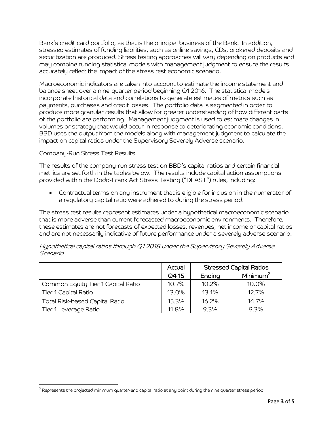Bank's credit card portfolio, as that is the principal business of the Bank. In addition, stressed estimates of funding liabilities, such as online savings, CDs, brokered deposits and securitization are produced. Stress testing approaches will vary depending on products and may combine running statistical models with management judgment to ensure the results accurately reflect the impact of the stress test economic scenario.

Macroeconomic indicators are taken into account to estimate the income statement and balance sheet over a nine-quarter period beginning Q1 2016. The statistical models incorporate historical data and correlations to generate estimates of metrics such as payments, purchases and credit losses. The portfolio data is segmented in order to produce more granular results that allow for greater understanding of how different parts of the portfolio are performing. Management judgment is used to estimate changes in volumes or strategy that would occur in response to deteriorating economic conditions. BBD uses the output from the models along with management judgment to calculate the impact on capital ratios under the Supervisory Severely Adverse scenario.

# Company-Run Stress Test Results

 $\overline{a}$ 

The results of the company-run stress test on BBD's capital ratios and certain financial metrics are set forth in the tables below. The results include capital action assumptions provided within the Dodd-Frank Act Stress Testing ("DFAST") rules, including:

 Contractual terms on any instrument that is eligible for inclusion in the numerator of a regulatory capital ratio were adhered to during the stress period.

The stress test results represent estimates under a hypothetical macroeconomic scenario that is more adverse than current forecasted macroeconomic environments. Therefore, these estimates are not forecasts of expected losses, revenues, net income or capital ratios and are not necessarily indicative of future performance under a severely adverse scenario.

|                                    | Actual | <b>Stressed Capital Ratios</b> |                      |
|------------------------------------|--------|--------------------------------|----------------------|
|                                    | Q415   | Ending                         | Minimum <sup>2</sup> |
| Common Equity Tier 1 Capital Ratio | 10.7%  | 10.2%                          | 10.0%                |
| Tier 1 Capital Ratio               | 13.0%  | 13.1%                          | 12.7%                |
| Total Risk-based Capital Ratio     | 15.3%  | 16.2%                          | 14.7%                |
| Tier 1 Leverage Ratio              | 11.8%  | 9.3%                           | 9.3%                 |

# Hypothetical capital ratios through Q1 2018 under the Supervisory Severely Adverse Scenario

 $^2$  Represents the projected minimum quarter-end capital ratio at any point during the nine quarter stress period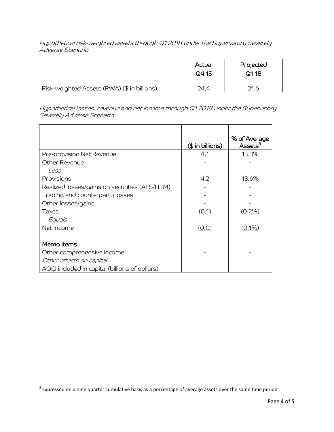Hypothetical risk-weighted assets through Q1 2018 under the Supervisory Severely Adverse Scenario

|                                             | Actual<br>Q4 15 | Projected<br>Q118 |
|---------------------------------------------|-----------------|-------------------|
| Risk-weighted Assets (RWA) (\$ in billions) | 24.4            | 21.6              |

Hypothetical losses, revenue and net income through Q1 2018 under the Supervisory Severely Adverse Scenario

|                                                | $($$ in billions) | % of Average<br>Assets $3$ |
|------------------------------------------------|-------------------|----------------------------|
| Pre-provision Net Revenue                      | 4.1               | 13.3%                      |
| Other Revenue                                  |                   |                            |
| Less                                           |                   |                            |
| Provisions                                     | 4.2               | 13.6%                      |
| Realized losses/gains on securities (AFS/HTM)  |                   |                            |
| Trading and counterparty losses                |                   |                            |
| Other losses/gains                             |                   |                            |
| Taxes                                          | (0.1)             | $(0.2\%)$                  |
| Equals                                         |                   |                            |
| Net Income                                     | (0.0)             | $(0.1\%)$                  |
|                                                |                   |                            |
| Memo items                                     |                   |                            |
| Other comprehensive income                     |                   |                            |
| Other effects on capital                       |                   |                            |
| AOCI included in capital (billions of dollars) |                   |                            |

<sup>&</sup>lt;u>and the sect on a nine quarter cumulative basis as a percentage of average assets over the same time period</u><br><sup>3</sup> Expressed on a nine quarter cumulative basis as a percentage of average assets over the same time period